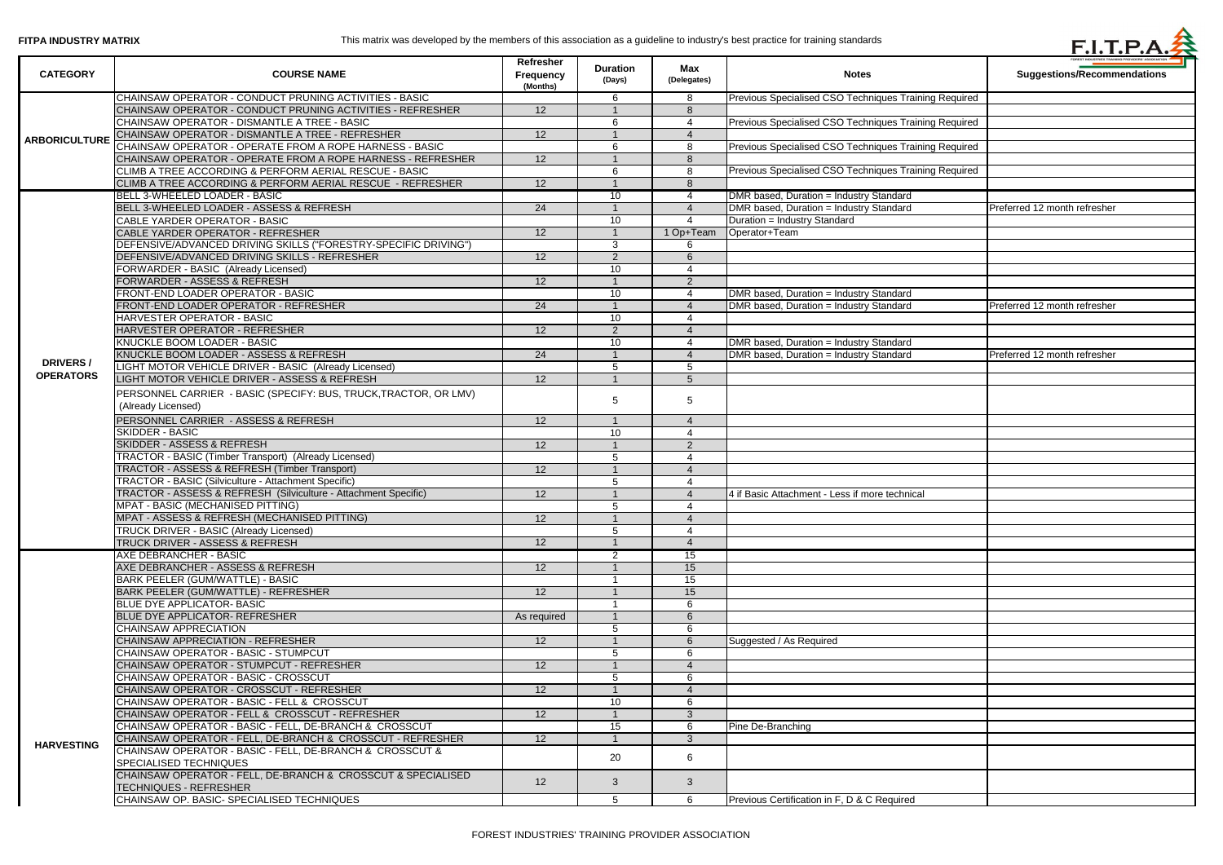| <b>CATEGORY</b>      | <b>COURSE NAME</b>                                               | Refresher<br><b>Frequency</b><br>(Months) | <b>Duration</b><br>(Days) | Max<br>(Delegates)       | <b>Notes</b>                                          | FOREST INDUSTRIES TRAINING PROVIDERS' ASSOCIATION<br><b>Suggestions/Recommendations</b> |
|----------------------|------------------------------------------------------------------|-------------------------------------------|---------------------------|--------------------------|-------------------------------------------------------|-----------------------------------------------------------------------------------------|
|                      | CHAINSAW OPERATOR - CONDUCT PRUNING ACTIVITIES - BASIC           |                                           | 6                         | 8                        | Previous Specialised CSO Techniques Training Required |                                                                                         |
| <b>ARBORICULTURE</b> | CHAINSAW OPERATOR - CONDUCT PRUNING ACTIVITIES - REFRESHER       | 12                                        |                           | 8                        |                                                       |                                                                                         |
|                      | CHAINSAW OPERATOR - DISMANTLE A TREE - BASIC                     |                                           | 6                         |                          | Previous Specialised CSO Techniques Training Required |                                                                                         |
|                      | CHAINSAW OPERATOR - DISMANTLE A TREE - REFRESHER                 | 12                                        |                           |                          |                                                       |                                                                                         |
|                      | CHAINSAW OPERATOR - OPERATE FROM A ROPE HARNESS - BASIC          |                                           | 6                         | 8                        | Previous Specialised CSO Techniques Training Required |                                                                                         |
|                      | CHAINSAW OPERATOR - OPERATE FROM A ROPE HARNESS - REFRESHER      | 12                                        |                           | 8                        |                                                       |                                                                                         |
|                      | CLIMB A TREE ACCORDING & PERFORM AERIAL RESCUE - BASIC           |                                           |                           | 8                        | Previous Specialised CSO Techniques Training Required |                                                                                         |
|                      | CLIMB A TREE ACCORDING & PERFORM AERIAL RESCUE - REFRESHER       | 12                                        |                           | 8                        |                                                       |                                                                                         |
|                      | BELL 3-WHEELED LOADER - BASIC                                    |                                           | 10                        | 4                        | DMR based, Duration = Industry Standard               |                                                                                         |
|                      | BELL 3-WHEELED LOADER - ASSESS & REFRESH                         | 24                                        |                           |                          | DMR based, Duration = Industry Standard               | Preferred 12 month refresher                                                            |
|                      | CABLE YARDER OPERATOR - BASIC                                    |                                           | 10                        |                          | Duration = Industry Standard                          |                                                                                         |
|                      | CABLE YARDER OPERATOR - REFRESHER                                | 12                                        |                           | 1 Op+Team                | Operator+Team                                         |                                                                                         |
|                      | DEFENSIVE/ADVANCED DRIVING SKILLS ("FORESTRY-SPECIFIC DRIVING")  |                                           | 3                         |                          |                                                       |                                                                                         |
|                      | DEFENSIVE/ADVANCED DRIVING SKILLS - REFRESHER                    | 12                                        | 2                         |                          |                                                       |                                                                                         |
|                      | FORWARDER - BASIC (Already Licensed)                             |                                           | 10 <sup>°</sup>           |                          |                                                       |                                                                                         |
|                      | FORWARDER - ASSESS & REFRESH                                     | 12                                        |                           | 2                        |                                                       |                                                                                         |
|                      | FRONT-END LOADER OPERATOR - BASIC                                |                                           | 10 <sup>°</sup>           |                          | DMR based, Duration = Industry Standard               |                                                                                         |
|                      | FRONT-END LOADER OPERATOR - REFRESHER                            | 24                                        |                           |                          | DMR based, Duration = Industry Standard               | Preferred 12 month refresher                                                            |
|                      | HARVESTER OPERATOR - BASIC                                       |                                           | 10 <sup>°</sup>           |                          |                                                       |                                                                                         |
|                      | HARVESTER OPERATOR - REFRESHER                                   | 12                                        | $\overline{2}$            | 4                        |                                                       |                                                                                         |
|                      | KNUCKLE BOOM LOADER - BASIC                                      |                                           | 10                        |                          | DMR based, Duration = Industry Standard               |                                                                                         |
|                      | KNUCKLE BOOM LOADER - ASSESS & REFRESH                           | 24                                        |                           |                          | DMR based, Duration = Industry Standard               | Preferred 12 month refresher                                                            |
| <b>DRIVERS/</b>      | LIGHT MOTOR VEHICLE DRIVER - BASIC (Already Licensed)            |                                           | 5                         | 5                        |                                                       |                                                                                         |
| <b>OPERATORS</b>     | LIGHT MOTOR VEHICLE DRIVER - ASSESS & REFRESH                    | $\overline{12}$                           |                           | 5                        |                                                       |                                                                                         |
|                      |                                                                  |                                           |                           |                          |                                                       |                                                                                         |
|                      | PERSONNEL CARRIER - BASIC (SPECIFY: BUS, TRUCK, TRACTOR, OR LMV) |                                           | 5                         | 5                        |                                                       |                                                                                         |
|                      | (Already Licensed)                                               |                                           |                           |                          |                                                       |                                                                                         |
|                      | PERSONNEL CARRIER - ASSESS & REFRESH                             | $\overline{12}$                           |                           | $\boldsymbol{\varDelta}$ |                                                       |                                                                                         |
|                      | <b>SKIDDER - BASIC</b>                                           |                                           | 10 <sup>°</sup>           | Δ                        |                                                       |                                                                                         |
|                      | <b>SKIDDER - ASSESS &amp; REFRESH</b>                            | $\overline{12}$                           |                           | $\overline{2}$           |                                                       |                                                                                         |
|                      | <b>TRACTOR - BASIC (Timber Transport) (Already Licensed)</b>     |                                           | 5                         |                          |                                                       |                                                                                         |
|                      | <b>TRACTOR - ASSESS &amp; REFRESH (Timber Transport)</b>         | $\overline{12}$                           |                           | ⊿                        |                                                       |                                                                                         |
|                      | TRACTOR - BASIC (Silviculture - Attachment Specific)             |                                           |                           |                          |                                                       |                                                                                         |
|                      | TRACTOR - ASSESS & REFRESH (Silviculture - Attachment Specific)  | 12                                        |                           |                          | 4 if Basic Attachment - Less if more technical        |                                                                                         |
|                      | <b>MPAT - BASIC (MECHANISED PITTING)</b>                         |                                           | 5                         |                          |                                                       |                                                                                         |
|                      | MPAT - ASSESS & REFRESH (MECHANISED PITTING)                     | 12                                        |                           | $\overline{4}$           |                                                       |                                                                                         |
|                      | TRUCK DRIVER - BASIC (Already Licensed)                          |                                           | 5                         | 4                        |                                                       |                                                                                         |
|                      | TRUCK DRIVER - ASSESS & REFRESH                                  | 12                                        |                           | $\Delta$                 |                                                       |                                                                                         |
|                      | <b>AXE DEBRANCHER - BASIC</b>                                    |                                           | 2                         | 15                       |                                                       |                                                                                         |
|                      | AXE DEBRANCHER - ASSESS & REFRESH                                | 12                                        |                           | 15                       |                                                       |                                                                                         |
|                      | <b>BARK PEELER (GUM/WATTLE) - BASIC</b>                          |                                           |                           | 15                       |                                                       |                                                                                         |
|                      | <b>BARK PEELER (GUM/WATTLE) - REFRESHER</b>                      | $\overline{12}$                           |                           | 15                       |                                                       |                                                                                         |
|                      | <b>BLUE DYE APPLICATOR- BASIC</b>                                |                                           |                           | 6                        |                                                       |                                                                                         |
|                      | <b>BLUE DYE APPLICATOR- REFRESHER</b>                            | As required                               |                           | 6                        |                                                       |                                                                                         |
|                      | <b>CHAINSAW APPRECIATION</b>                                     |                                           | 5                         | 6                        |                                                       |                                                                                         |
|                      | CHAINSAW APPRECIATION - REFRESHER                                | 12                                        |                           | 6                        | Suggested / As Required                               |                                                                                         |
|                      | CHAINSAW OPERATOR - BASIC - STUMPCUT                             |                                           | 5                         | 6                        |                                                       |                                                                                         |
|                      | CHAINSAW OPERATOR - STUMPCUT - REFRESHER                         | 12                                        |                           | $\boldsymbol{\varDelta}$ |                                                       |                                                                                         |
|                      | CHAINSAW OPERATOR - BASIC - CROSSCUT                             |                                           | 5                         | 6                        |                                                       |                                                                                         |
|                      | CHAINSAW OPERATOR - CROSSCUT - REFRESHER                         | 12                                        |                           |                          |                                                       |                                                                                         |
|                      | CHAINSAW OPERATOR - BASIC - FELL & CROSSCUT                      |                                           | 10 <sup>°</sup>           | 6                        |                                                       |                                                                                         |
|                      | CHAINSAW OPERATOR - FELL & CROSSCUT - REFRESHER                  | 12                                        |                           | 3                        |                                                       |                                                                                         |
|                      | CHAINSAW OPERATOR - BASIC - FELL, DE-BRANCH & CROSSCUT           |                                           | 15                        | 6                        | Pine De-Branching                                     |                                                                                         |
| <b>HARVESTING</b>    | CHAINSAW OPERATOR - FELL, DE-BRANCH & CROSSCUT - REFRESHER       | 12                                        |                           | 3                        |                                                       |                                                                                         |
|                      | CHAINSAW OPERATOR - BASIC - FELL, DE-BRANCH & CROSSCUT &         |                                           | 20                        | 6                        |                                                       |                                                                                         |
|                      | SPECIALISED TECHNIQUES                                           |                                           |                           |                          |                                                       |                                                                                         |
|                      | CHAINSAW OPERATOR - FELL, DE-BRANCH & CROSSCUT & SPECIALISED     | 12                                        | $\mathbf{3}$              | $\mathbf{3}$             |                                                       |                                                                                         |
|                      | <b>TECHNIQUES - REFRESHER</b>                                    |                                           |                           |                          |                                                       |                                                                                         |
|                      | CHAINSAW OP. BASIC- SPECIALISED TECHNIQUES                       |                                           | 5                         | 6                        | Previous Certification in F, D & C Required           |                                                                                         |

|              | <b>Suggestions/Recommendations</b> |  |  |  |  |  |
|--------------|------------------------------------|--|--|--|--|--|
| ing Required |                                    |  |  |  |  |  |
| ing Required |                                    |  |  |  |  |  |
| ing Required |                                    |  |  |  |  |  |
| ing Required |                                    |  |  |  |  |  |
|              | Preferred 12 month refresher       |  |  |  |  |  |
|              |                                    |  |  |  |  |  |
|              |                                    |  |  |  |  |  |
|              |                                    |  |  |  |  |  |
|              | Preferred 12 month refresher       |  |  |  |  |  |
|              |                                    |  |  |  |  |  |
|              | Preferred 12 month refresher       |  |  |  |  |  |
|              |                                    |  |  |  |  |  |
|              |                                    |  |  |  |  |  |
|              |                                    |  |  |  |  |  |
|              |                                    |  |  |  |  |  |
|              |                                    |  |  |  |  |  |
|              |                                    |  |  |  |  |  |
|              |                                    |  |  |  |  |  |
|              |                                    |  |  |  |  |  |
|              |                                    |  |  |  |  |  |
|              |                                    |  |  |  |  |  |
|              |                                    |  |  |  |  |  |
|              |                                    |  |  |  |  |  |
|              |                                    |  |  |  |  |  |
|              |                                    |  |  |  |  |  |
|              |                                    |  |  |  |  |  |
|              |                                    |  |  |  |  |  |
|              |                                    |  |  |  |  |  |
|              |                                    |  |  |  |  |  |

 $\blacktriangle$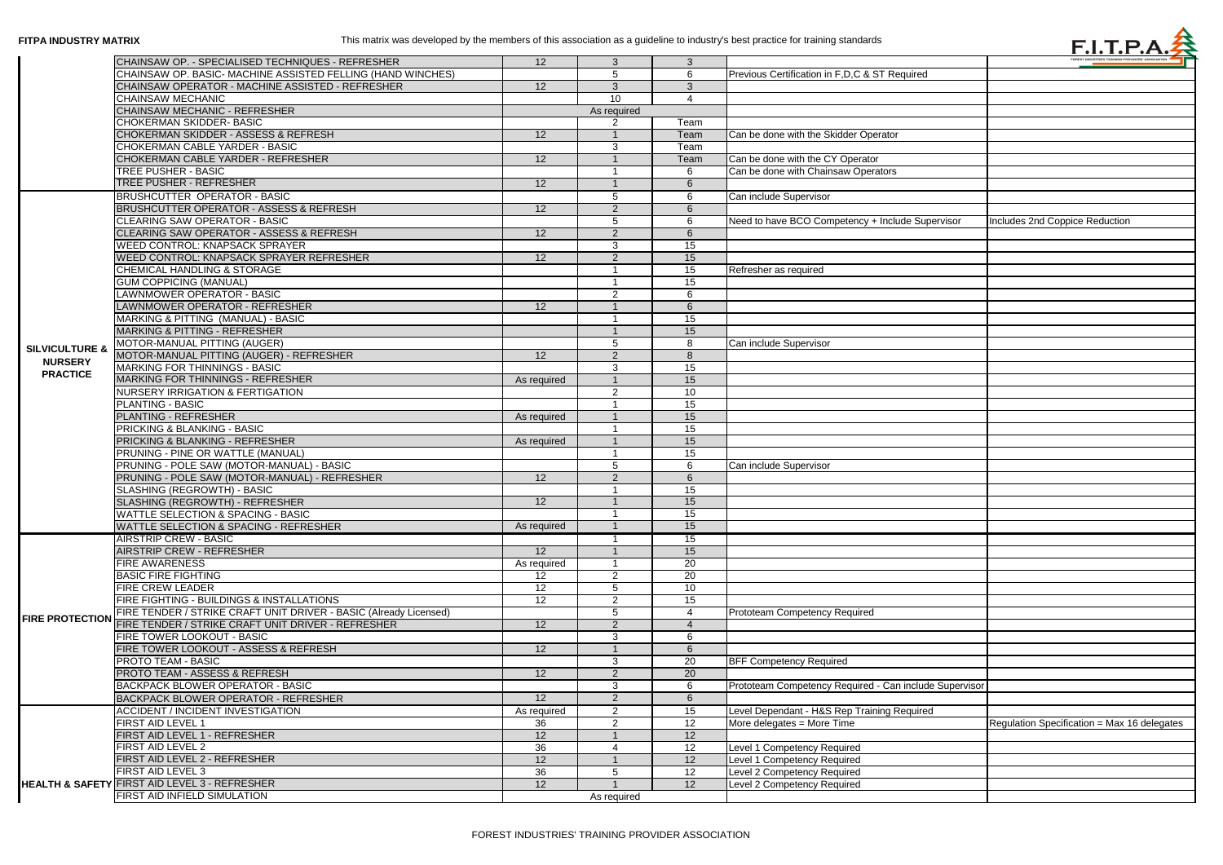|                           | CHAINSAW OP. - SPECIALISED TECHNIQUES - REFRESHER                 | 12 <sup>2</sup> | $\mathbf{3}$    | $\mathbf{3}$          |                                                        |                                             |
|---------------------------|-------------------------------------------------------------------|-----------------|-----------------|-----------------------|--------------------------------------------------------|---------------------------------------------|
|                           | CHAINSAW OP. BASIC- MACHINE ASSISTED FELLING (HAND WINCHES)       |                 | $\sqrt{5}$      | 6                     | Previous Certification in F, D, C & ST Required        |                                             |
|                           | CHAINSAW OPERATOR - MACHINE ASSISTED - REFRESHER                  | 12              | $\mathbf{3}$    | 3                     |                                                        |                                             |
|                           | <b>CHAINSAW MECHANIC</b>                                          |                 | 10              | $\boldsymbol{\Delta}$ |                                                        |                                             |
|                           | <b>CHAINSAW MECHANIC - REFRESHER</b>                              | As required     |                 |                       |                                                        |                                             |
|                           | <b>CHOKERMAN SKIDDER- BASIC</b>                                   |                 | $\mathcal{P}$   | Team                  |                                                        |                                             |
|                           | <b>CHOKERMAN SKIDDER - ASSESS &amp; REFRESH</b>                   |                 |                 |                       |                                                        |                                             |
|                           |                                                                   | 12 <sup>2</sup> |                 | Team                  | Can be done with the Skidder Operator                  |                                             |
|                           | <b>CHOKERMAN CABLE YARDER - BASIC</b>                             |                 | $\mathbf{3}$    | Team                  |                                                        |                                             |
|                           | CHOKERMAN CABLE YARDER - REFRESHER                                | 12              |                 | Team                  | Can be done with the CY Operator                       |                                             |
|                           | <b>TREE PUSHER - BASIC</b>                                        |                 |                 | 6                     | Can be done with Chainsaw Operators                    |                                             |
|                           | <b>TREE PUSHER - REFRESHER</b>                                    | 12              |                 | 6                     |                                                        |                                             |
|                           | <b>BRUSHCUTTER OPERATOR - BASIC</b>                               |                 | 5               | 6                     | Can include Supervisor                                 |                                             |
|                           | <b>BRUSHCUTTER OPERATOR - ASSESS &amp; REFRESH</b>                | 12 <sup>°</sup> | $\overline{2}$  | 6                     |                                                        |                                             |
|                           | <b>CLEARING SAW OPERATOR - BASIC</b>                              |                 | 5               | 6                     | Need to have BCO Competency + Include Supervisor       | Includes 2nd Coppice Reduction              |
|                           | CLEARING SAW OPERATOR - ASSESS & REFRESH                          | 12              | 2               | 6                     |                                                        |                                             |
|                           | <b>WEED CONTROL: KNAPSACK SPRAYER</b>                             |                 | 3               | 15                    |                                                        |                                             |
|                           | <b>WEED CONTROL: KNAPSACK SPRAYER REFRESHER</b>                   | 12              | $\overline{2}$  | 15                    |                                                        |                                             |
|                           | <b>CHEMICAL HANDLING &amp; STORAGE</b>                            |                 |                 | 15                    | Refresher as required                                  |                                             |
|                           | <b>GUM COPPICING (MANUAL)</b>                                     |                 |                 |                       |                                                        |                                             |
|                           |                                                                   |                 |                 | 15                    |                                                        |                                             |
|                           | <b>LAWNMOWER OPERATOR - BASIC</b>                                 |                 | $\overline{2}$  | 6                     |                                                        |                                             |
|                           | LAWNMOWER OPERATOR - REFRESHER                                    | 12              |                 | 6                     |                                                        |                                             |
|                           | MARKING & PITTING (MANUAL) - BASIC                                |                 |                 | 15                    |                                                        |                                             |
|                           | <b>MARKING &amp; PITTING - REFRESHER</b>                          |                 |                 | 15                    |                                                        |                                             |
| <b>SILVICULTURE &amp;</b> | MOTOR-MANUAL PITTING (AUGER)                                      |                 | -5              | 8                     | Can include Supervisor                                 |                                             |
|                           | MOTOR-MANUAL PITTING (AUGER) - REFRESHER                          | 12              | $\overline{2}$  | 8                     |                                                        |                                             |
| <b>NURSERY</b>            | <b>MARKING FOR THINNINGS - BASIC</b>                              |                 | $\mathbf{3}$    | 15                    |                                                        |                                             |
| <b>PRACTICE</b>           | <b>MARKING FOR THINNINGS - REFRESHER</b>                          | As required     |                 | 15                    |                                                        |                                             |
|                           | <b>NURSERY IRRIGATION &amp; FERTIGATION</b>                       |                 | 2               | 10                    |                                                        |                                             |
|                           | <b>PLANTING - BASIC</b>                                           |                 |                 | 15                    |                                                        |                                             |
|                           | <b>PLANTING - REFRESHER</b>                                       | As required     |                 | 15                    |                                                        |                                             |
|                           | <b>PRICKING &amp; BLANKING - BASIC</b>                            |                 |                 | 15                    |                                                        |                                             |
|                           |                                                                   |                 |                 | 15                    |                                                        |                                             |
|                           | <b>PRICKING &amp; BLANKING - REFRESHER</b>                        | As required     |                 |                       |                                                        |                                             |
|                           | PRUNING - PINE OR WATTLE (MANUAL)                                 |                 |                 | 15                    |                                                        |                                             |
|                           | PRUNING - POLE SAW (MOTOR-MANUAL) - BASIC                         |                 | -5              | 6                     | Can include Supervisor                                 |                                             |
|                           | PRUNING - POLE SAW (MOTOR-MANUAL) - REFRESHER                     | 12              | $\overline{2}$  | 6                     |                                                        |                                             |
|                           | SLASHING (REGROWTH) - BASIC                                       |                 |                 | 15                    |                                                        |                                             |
|                           | SLASHING (REGROWTH) - REFRESHER                                   | 12              |                 | 15                    |                                                        |                                             |
|                           | <b>WATTLE SELECTION &amp; SPACING - BASIC</b>                     |                 |                 | 15                    |                                                        |                                             |
|                           | WATTLE SELECTION & SPACING - REFRESHER                            | As required     |                 | 15                    |                                                        |                                             |
|                           | <b>AIRSTRIP CREW - BASIC</b>                                      |                 |                 | 15 <sub>1</sub>       |                                                        |                                             |
|                           | <b>AIRSTRIP CREW - REFRESHER</b>                                  | 12              |                 | 15                    |                                                        |                                             |
|                           | <b>FIRE AWARENESS</b>                                             | As required     |                 | 20                    |                                                        |                                             |
|                           | <b>BASIC FIRE FIGHTING</b>                                        | 12              | $\overline{2}$  | 20                    |                                                        |                                             |
|                           | <b>FIRE CREW LEADER</b>                                           | 12              | $5\overline{)}$ | 10                    |                                                        |                                             |
|                           | FIRE FIGHTING - BUILDINGS & INSTALLATIONS                         | 12              | $\overline{2}$  | 15                    |                                                        |                                             |
|                           | FIRE TENDER / STRIKE CRAFT UNIT DRIVER - BASIC (Already Licensed) |                 | $5\phantom{.0}$ | 4                     |                                                        |                                             |
| <b>FIRE PROTECTION</b>    |                                                                   |                 |                 |                       | Prototeam Competency Required                          |                                             |
|                           | FIRE TENDER / STRIKE CRAFT UNIT DRIVER - REFRESHER                | 12              | $\overline{2}$  | $\overline{4}$        |                                                        |                                             |
|                           | <b>FIRE TOWER LOOKOUT - BASIC</b>                                 |                 | 3               | 6                     |                                                        |                                             |
|                           | FIRE TOWER LOOKOUT - ASSESS & REFRESH                             | 12 <sup>2</sup> |                 | 6                     |                                                        |                                             |
|                           | <b>PROTO TEAM - BASIC</b>                                         |                 | $\mathbf{3}$    | 20                    | <b>BFF Competency Required</b>                         |                                             |
|                           | <b>PROTO TEAM - ASSESS &amp; REFRESH</b>                          | 12 <sup>2</sup> | $\overline{2}$  | $\overline{20}$       |                                                        |                                             |
|                           | <b>BACKPACK BLOWER OPERATOR - BASIC</b>                           |                 | 3               | 6                     | Prototeam Competency Required - Can include Supervisor |                                             |
|                           | BACKPACK BLOWER OPERATOR - REFRESHER                              | 12              | $\overline{2}$  | 6                     |                                                        |                                             |
|                           | <b>ACCIDENT / INCIDENT INVESTIGATION</b>                          | As required     | $\overline{2}$  | 15                    | Level Dependant - H&S Rep Training Required            |                                             |
|                           | <b>FIRST AID LEVEL 1</b>                                          | 36              | $\overline{2}$  | 12                    | More delegates = More Time                             | Regulation Specification = Max 16 delegates |
|                           | FIRST AID LEVEL 1 - REFRESHER                                     | 12              |                 | 12                    |                                                        |                                             |
|                           | <b>FIRST AID LEVEL 2</b>                                          | 36              | 4               | 12                    | Level 1 Competency Required                            |                                             |
|                           | FIRST AID LEVEL 2 - REFRESHER                                     | 12              |                 | 12                    | Level 1 Competency Required                            |                                             |
|                           | <b>FIRST AID LEVEL 3</b>                                          | 36              | 5               | 12                    | Level 2 Competency Required                            |                                             |
|                           | HEALTH & SAFETY FIRST AID LEVEL 3 - REFRESHER                     | 12              |                 | 12                    |                                                        |                                             |
|                           |                                                                   |                 |                 |                       | Level 2 Competency Required                            |                                             |
|                           | <b>FIRST AID INFIELD SIMULATION</b>                               |                 | As required     |                       |                                                        |                                             |



|               | <b>FUREST INDUSTRIES TRAINING PROVIDERS' ASSOCIATION</b> |
|---------------|----------------------------------------------------------|
| t             |                                                          |
|               |                                                          |
|               |                                                          |
|               |                                                          |
|               |                                                          |
|               |                                                          |
|               |                                                          |
|               |                                                          |
|               |                                                          |
|               |                                                          |
|               |                                                          |
|               |                                                          |
|               |                                                          |
|               |                                                          |
| ipervisor     | Includes 2nd Coppice Reduction                           |
|               |                                                          |
|               |                                                          |
|               |                                                          |
|               |                                                          |
|               |                                                          |
|               |                                                          |
|               |                                                          |
|               |                                                          |
|               |                                                          |
|               |                                                          |
|               |                                                          |
|               |                                                          |
|               |                                                          |
|               |                                                          |
|               |                                                          |
|               |                                                          |
|               |                                                          |
|               |                                                          |
|               |                                                          |
|               |                                                          |
|               |                                                          |
|               |                                                          |
|               |                                                          |
|               |                                                          |
|               |                                                          |
|               |                                                          |
|               |                                                          |
|               |                                                          |
|               |                                                          |
|               |                                                          |
|               |                                                          |
|               |                                                          |
|               |                                                          |
|               |                                                          |
|               |                                                          |
|               |                                                          |
|               |                                                          |
|               |                                                          |
|               |                                                          |
|               |                                                          |
|               |                                                          |
|               |                                                          |
|               |                                                          |
|               |                                                          |
|               |                                                          |
| de Supervisor |                                                          |
|               |                                                          |
|               |                                                          |
| Эq            |                                                          |
|               | Regulation Specification = Max 16 delegates              |
|               |                                                          |
|               |                                                          |
|               |                                                          |
|               |                                                          |
|               |                                                          |
|               |                                                          |
|               |                                                          |
|               |                                                          |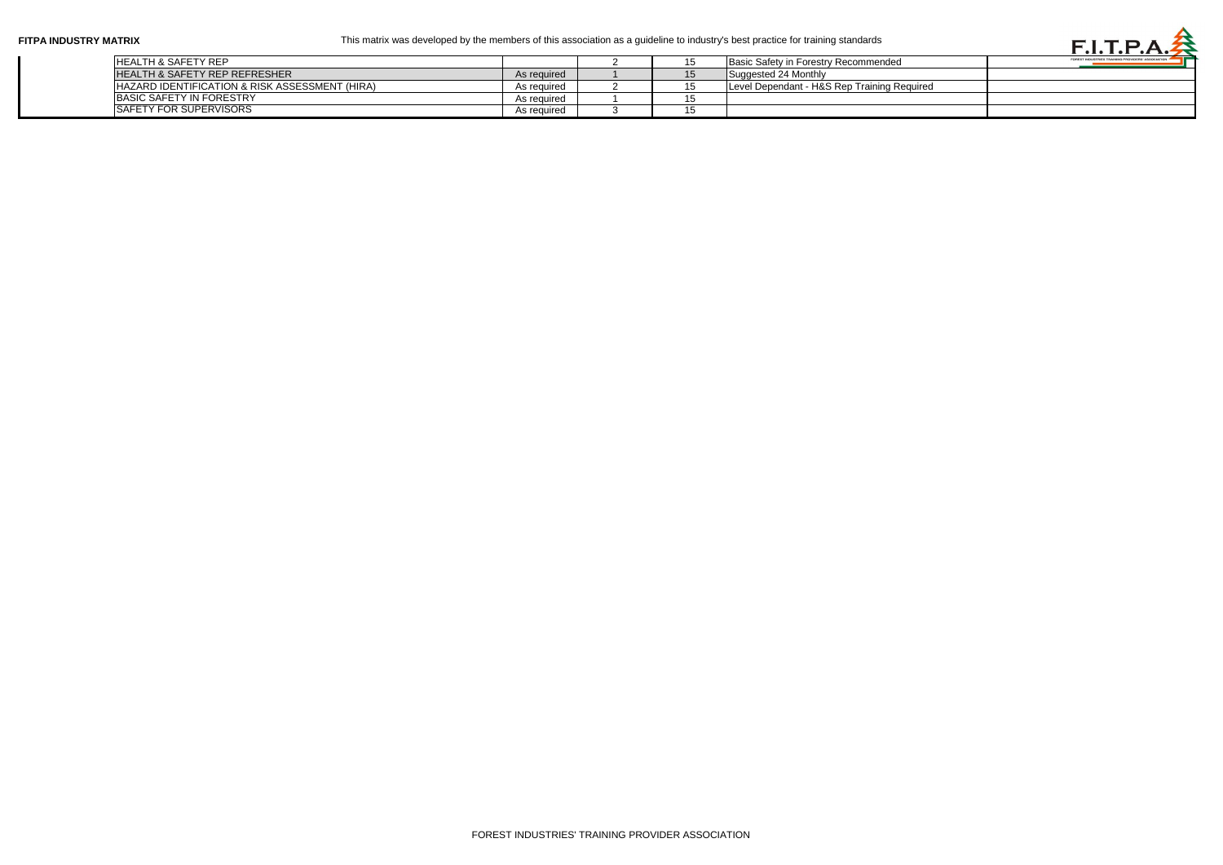| FITPA INDUSTRY MATRIX |                                                |             |  | This matrix was developed by the members of this association as a guideline to industry's best practice for training standards |  |
|-----------------------|------------------------------------------------|-------------|--|--------------------------------------------------------------------------------------------------------------------------------|--|
|                       | <b>HEALTH &amp; SAFETY REP</b>                 |             |  | Basic Safety in Forestry Recommended                                                                                           |  |
|                       | <b>HEALTH &amp; SAFETY REP REFRESHER</b>       | As required |  | Suggested 24 Monthly                                                                                                           |  |
|                       | HAZARD IDENTIFICATION & RISK ASSESSMENT (HIRA) | As reguired |  | Level Dependant - H&S Rep Training Required                                                                                    |  |
|                       | <b>IBASIC SAFETY IN FORESTRY</b>               | As required |  |                                                                                                                                |  |
|                       | <b>SAFETY FOR SUPERVISORS</b>                  | As required |  |                                                                                                                                |  |